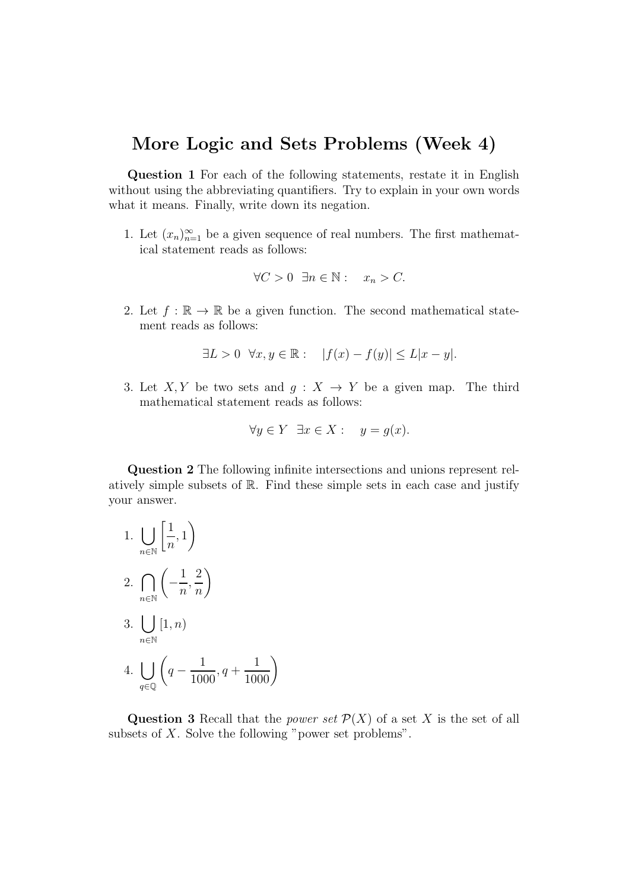## More Logic and Sets Problems (Week 4)

Question 1 For each of the following statements, restate it in English without using the abbreviating quantifiers. Try to explain in your own words what it means. Finally, write down its negation.

1. Let  $(x_n)_{n=1}^{\infty}$  be a given sequence of real numbers. The first mathematical statement reads as follows:

$$
\forall C > 0 \ \exists n \in \mathbb{N} : x_n > C.
$$

2. Let  $f : \mathbb{R} \to \mathbb{R}$  be a given function. The second mathematical statement reads as follows:

$$
\exists L > 0 \ \forall x, y \in \mathbb{R} : \quad |f(x) - f(y)| \le L|x - y|.
$$

3. Let X, Y be two sets and  $q: X \rightarrow Y$  be a given map. The third mathematical statement reads as follows:

$$
\forall y \in Y \; \exists x \in X : \; y = g(x).
$$

Question 2 The following infinite intersections and unions represent relatively simple subsets of R. Find these simple sets in each case and justify your answer.

1. 
$$
\bigcup_{n \in \mathbb{N}} \left[ \frac{1}{n}, 1 \right)
$$
  
2. 
$$
\bigcap_{n \in \mathbb{N}} \left( -\frac{1}{n}, \frac{2}{n} \right)
$$
  
3. 
$$
\bigcup_{n \in \mathbb{N}} [1, n)
$$
  
4. 
$$
\bigcup_{q \in \mathbb{Q}} \left( q - \frac{1}{1000}, q + \frac{1}{1000} \right)
$$

Question 3 Recall that the *power set*  $\mathcal{P}(X)$  of a set X is the set of all subsets of  $X$ . Solve the following "power set problems".